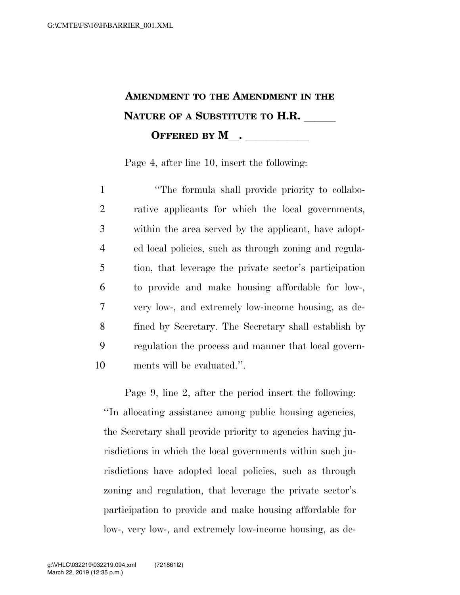## **AMENDMENT TO THE AMENDMENT IN THE NATURE OF A SUBSTITUTE TO H.R. OFFERED BY M\_\_\_\_\_\_\_\_\_\_\_\_**

Page 4, after line 10, insert the following:

**The formula shall provide priority to collabo-** rative applicants for which the local governments, within the area served by the applicant, have adopt- ed local policies, such as through zoning and regula- tion, that leverage the private sector's participation to provide and make housing affordable for low-, very low-, and extremely low-income housing, as de- fined by Secretary. The Secretary shall establish by regulation the process and manner that local govern-ments will be evaluated.''.

Page 9, line 2, after the period insert the following: ''In allocating assistance among public housing agencies, the Secretary shall provide priority to agencies having jurisdictions in which the local governments within such jurisdictions have adopted local policies, such as through zoning and regulation, that leverage the private sector's participation to provide and make housing affordable for low-, very low-, and extremely low-income housing, as de